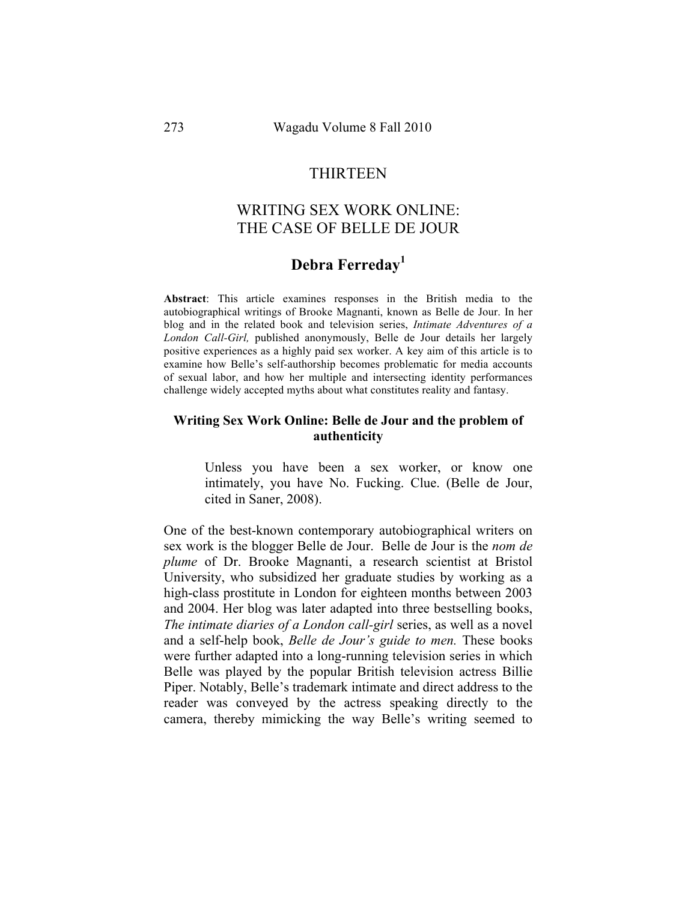## **THIRTEEN**

# WRITING SEX WORK ONLINE: THE CASE OF BELLE DE JOUR

# **Debra Ferreday<sup>1</sup>**

**Abstract**: This article examines responses in the British media to the autobiographical writings of Brooke Magnanti, known as Belle de Jour. In her blog and in the related book and television series, *Intimate Adventures of a London Call-Girl,* published anonymously, Belle de Jour details her largely positive experiences as a highly paid sex worker. A key aim of this article is to examine how Belle's self-authorship becomes problematic for media accounts of sexual labor, and how her multiple and intersecting identity performances challenge widely accepted myths about what constitutes reality and fantasy.

## **Writing Sex Work Online: Belle de Jour and the problem of authenticity**

Unless you have been a sex worker, or know one intimately, you have No. Fucking. Clue. (Belle de Jour, cited in Saner, 2008).

One of the best-known contemporary autobiographical writers on sex work is the blogger Belle de Jour. Belle de Jour is the *nom de plume* of Dr. Brooke Magnanti, a research scientist at Bristol University, who subsidized her graduate studies by working as a high-class prostitute in London for eighteen months between 2003 and 2004. Her blog was later adapted into three bestselling books, *The intimate diaries of a London call-girl* series, as well as a novel and a self-help book, *Belle de Jour's guide to men.* These books were further adapted into a long-running television series in which Belle was played by the popular British television actress Billie Piper. Notably, Belle's trademark intimate and direct address to the reader was conveyed by the actress speaking directly to the camera, thereby mimicking the way Belle's writing seemed to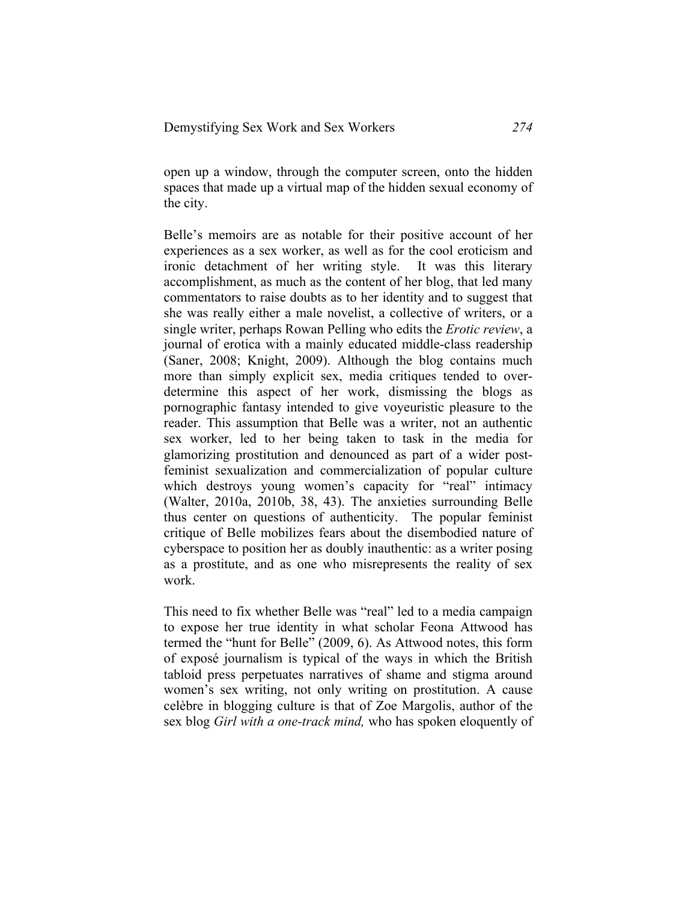open up a window, through the computer screen, onto the hidden spaces that made up a virtual map of the hidden sexual economy of the city.

Belle's memoirs are as notable for their positive account of her experiences as a sex worker, as well as for the cool eroticism and ironic detachment of her writing style. It was this literary accomplishment, as much as the content of her blog, that led many commentators to raise doubts as to her identity and to suggest that she was really either a male novelist, a collective of writers, or a single writer, perhaps Rowan Pelling who edits the *Erotic review*, a journal of erotica with a mainly educated middle-class readership (Saner, 2008; Knight, 2009). Although the blog contains much more than simply explicit sex, media critiques tended to overdetermine this aspect of her work, dismissing the blogs as pornographic fantasy intended to give voyeuristic pleasure to the reader. This assumption that Belle was a writer, not an authentic sex worker, led to her being taken to task in the media for glamorizing prostitution and denounced as part of a wider postfeminist sexualization and commercialization of popular culture which destroys young women's capacity for "real" intimacy (Walter, 2010a, 2010b, 38, 43). The anxieties surrounding Belle thus center on questions of authenticity. The popular feminist critique of Belle mobilizes fears about the disembodied nature of cyberspace to position her as doubly inauthentic: as a writer posing as a prostitute, and as one who misrepresents the reality of sex work.

This need to fix whether Belle was "real" led to a media campaign to expose her true identity in what scholar Feona Attwood has termed the "hunt for Belle" (2009, 6). As Attwood notes, this form of exposé journalism is typical of the ways in which the British tabloid press perpetuates narratives of shame and stigma around women's sex writing, not only writing on prostitution. A cause celèbre in blogging culture is that of Zoe Margolis, author of the sex blog *Girl with a one-track mind,* who has spoken eloquently of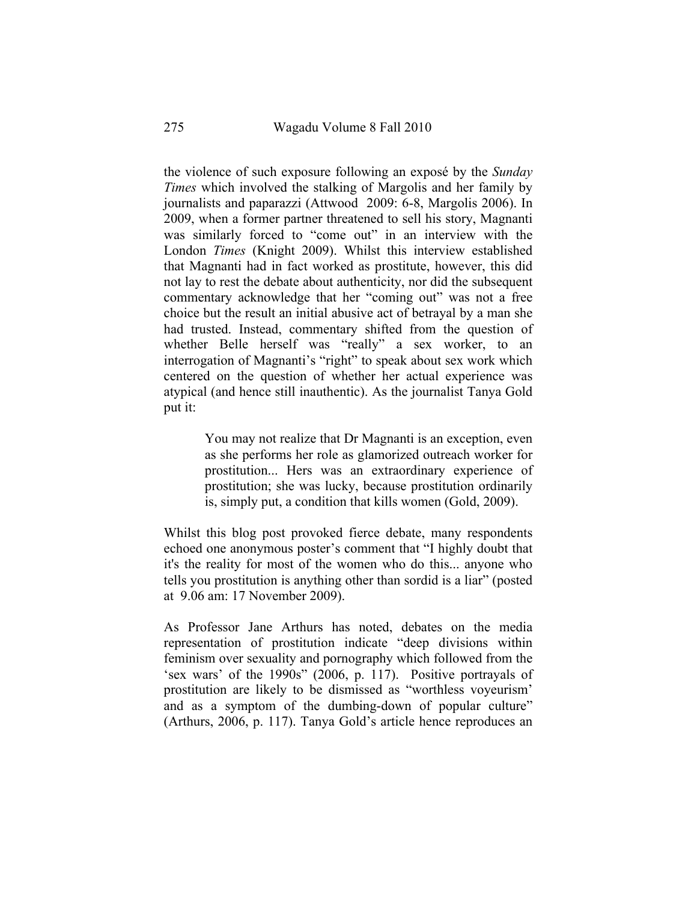the violence of such exposure following an exposé by the *Sunday Times* which involved the stalking of Margolis and her family by journalists and paparazzi (Attwood 2009: 6-8, Margolis 2006). In 2009, when a former partner threatened to sell his story, Magnanti was similarly forced to "come out" in an interview with the London *Times* (Knight 2009). Whilst this interview established that Magnanti had in fact worked as prostitute, however, this did not lay to rest the debate about authenticity, nor did the subsequent commentary acknowledge that her "coming out" was not a free choice but the result an initial abusive act of betrayal by a man she had trusted. Instead, commentary shifted from the question of whether Belle herself was "really" a sex worker, to an interrogation of Magnanti's "right" to speak about sex work which centered on the question of whether her actual experience was atypical (and hence still inauthentic). As the journalist Tanya Gold put it:

> You may not realize that Dr Magnanti is an exception, even as she performs her role as glamorized outreach worker for prostitution... Hers was an extraordinary experience of prostitution; she was lucky, because prostitution ordinarily is, simply put, a condition that kills women (Gold, 2009).

Whilst this blog post provoked fierce debate, many respondents echoed one anonymous poster's comment that "I highly doubt that it's the reality for most of the women who do this... anyone who tells you prostitution is anything other than sordid is a liar" (posted at 9.06 am: 17 November 2009).

As Professor Jane Arthurs has noted, debates on the media representation of prostitution indicate "deep divisions within feminism over sexuality and pornography which followed from the 'sex wars' of the 1990s" (2006, p. 117). Positive portrayals of prostitution are likely to be dismissed as "worthless voyeurism' and as a symptom of the dumbing-down of popular culture" (Arthurs, 2006, p. 117). Tanya Gold's article hence reproduces an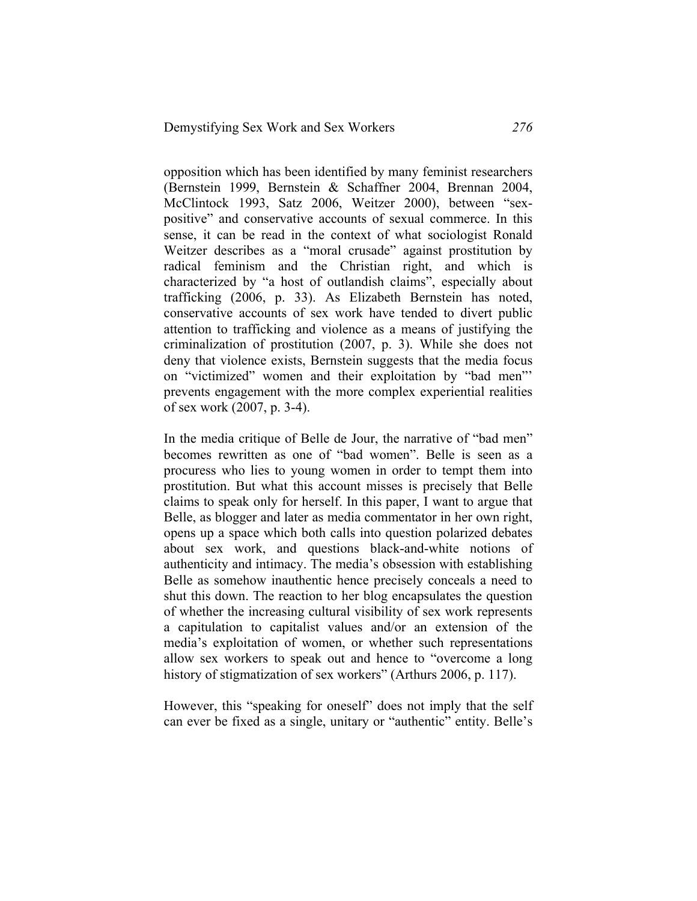opposition which has been identified by many feminist researchers (Bernstein 1999, Bernstein & Schaffner 2004, Brennan 2004, McClintock 1993, Satz 2006, Weitzer 2000), between "sexpositive" and conservative accounts of sexual commerce. In this sense, it can be read in the context of what sociologist Ronald Weitzer describes as a "moral crusade" against prostitution by radical feminism and the Christian right, and which is characterized by "a host of outlandish claims", especially about trafficking (2006, p. 33). As Elizabeth Bernstein has noted, conservative accounts of sex work have tended to divert public attention to trafficking and violence as a means of justifying the criminalization of prostitution (2007, p. 3). While she does not deny that violence exists, Bernstein suggests that the media focus on "victimized" women and their exploitation by "bad men"' prevents engagement with the more complex experiential realities of sex work (2007, p. 3-4).

In the media critique of Belle de Jour, the narrative of "bad men" becomes rewritten as one of "bad women". Belle is seen as a procuress who lies to young women in order to tempt them into prostitution. But what this account misses is precisely that Belle claims to speak only for herself. In this paper, I want to argue that Belle, as blogger and later as media commentator in her own right, opens up a space which both calls into question polarized debates about sex work, and questions black-and-white notions of authenticity and intimacy. The media's obsession with establishing Belle as somehow inauthentic hence precisely conceals a need to shut this down. The reaction to her blog encapsulates the question of whether the increasing cultural visibility of sex work represents a capitulation to capitalist values and/or an extension of the media's exploitation of women, or whether such representations allow sex workers to speak out and hence to "overcome a long history of stigmatization of sex workers" (Arthurs 2006, p. 117).

However, this "speaking for oneself" does not imply that the self can ever be fixed as a single, unitary or "authentic" entity. Belle's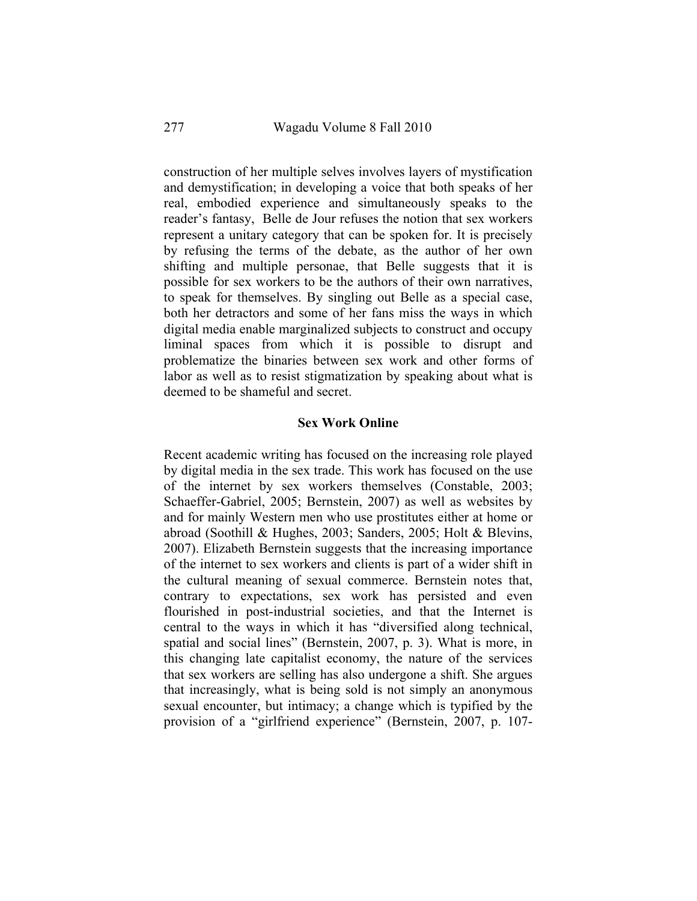construction of her multiple selves involves layers of mystification and demystification; in developing a voice that both speaks of her real, embodied experience and simultaneously speaks to the reader's fantasy, Belle de Jour refuses the notion that sex workers represent a unitary category that can be spoken for. It is precisely by refusing the terms of the debate, as the author of her own shifting and multiple personae, that Belle suggests that it is possible for sex workers to be the authors of their own narratives, to speak for themselves. By singling out Belle as a special case, both her detractors and some of her fans miss the ways in which digital media enable marginalized subjects to construct and occupy liminal spaces from which it is possible to disrupt and problematize the binaries between sex work and other forms of labor as well as to resist stigmatization by speaking about what is deemed to be shameful and secret.

### **Sex Work Online**

Recent academic writing has focused on the increasing role played by digital media in the sex trade. This work has focused on the use of the internet by sex workers themselves (Constable, 2003; Schaeffer-Gabriel, 2005; Bernstein, 2007) as well as websites by and for mainly Western men who use prostitutes either at home or abroad (Soothill & Hughes, 2003; Sanders, 2005; Holt & Blevins, 2007). Elizabeth Bernstein suggests that the increasing importance of the internet to sex workers and clients is part of a wider shift in the cultural meaning of sexual commerce. Bernstein notes that, contrary to expectations, sex work has persisted and even flourished in post-industrial societies, and that the Internet is central to the ways in which it has "diversified along technical, spatial and social lines" (Bernstein, 2007, p. 3). What is more, in this changing late capitalist economy, the nature of the services that sex workers are selling has also undergone a shift. She argues that increasingly, what is being sold is not simply an anonymous sexual encounter, but intimacy; a change which is typified by the provision of a "girlfriend experience" (Bernstein, 2007, p. 107-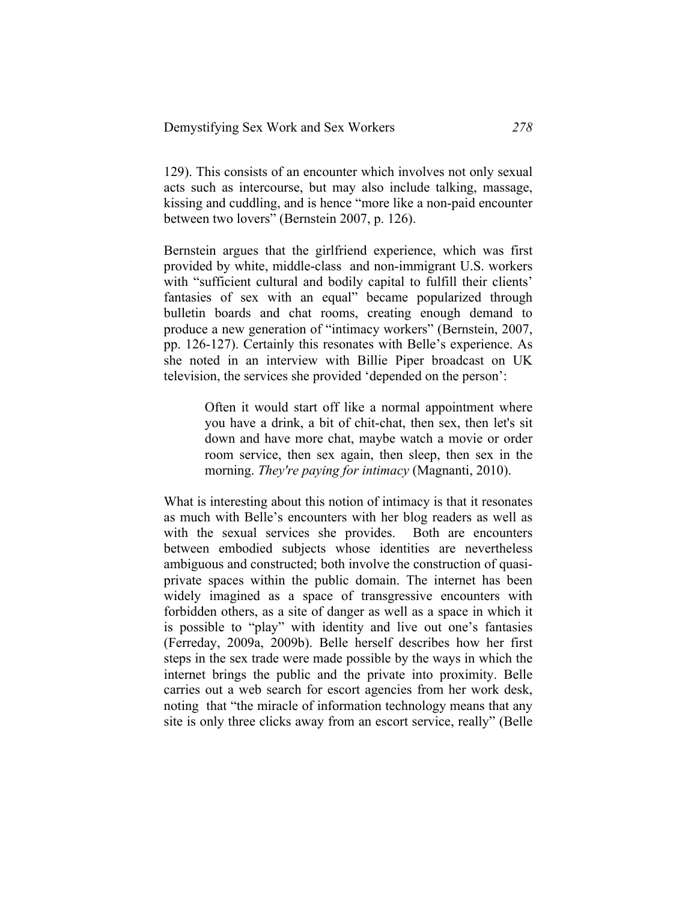129). This consists of an encounter which involves not only sexual acts such as intercourse, but may also include talking, massage, kissing and cuddling, and is hence "more like a non-paid encounter between two lovers" (Bernstein 2007, p. 126).

Bernstein argues that the girlfriend experience, which was first provided by white, middle-class and non-immigrant U.S. workers with "sufficient cultural and bodily capital to fulfill their clients' fantasies of sex with an equal" became popularized through bulletin boards and chat rooms, creating enough demand to produce a new generation of "intimacy workers" (Bernstein, 2007, pp. 126-127). Certainly this resonates with Belle's experience. As she noted in an interview with Billie Piper broadcast on UK television, the services she provided 'depended on the person':

> Often it would start off like a normal appointment where you have a drink, a bit of chit-chat, then sex, then let's sit down and have more chat, maybe watch a movie or order room service, then sex again, then sleep, then sex in the morning. *They're paying for intimacy* (Magnanti, 2010).

What is interesting about this notion of intimacy is that it resonates as much with Belle's encounters with her blog readers as well as with the sexual services she provides. Both are encounters between embodied subjects whose identities are nevertheless ambiguous and constructed; both involve the construction of quasiprivate spaces within the public domain. The internet has been widely imagined as a space of transgressive encounters with forbidden others, as a site of danger as well as a space in which it is possible to "play" with identity and live out one's fantasies (Ferreday, 2009a, 2009b). Belle herself describes how her first steps in the sex trade were made possible by the ways in which the internet brings the public and the private into proximity. Belle carries out a web search for escort agencies from her work desk, noting that "the miracle of information technology means that any site is only three clicks away from an escort service, really" (Belle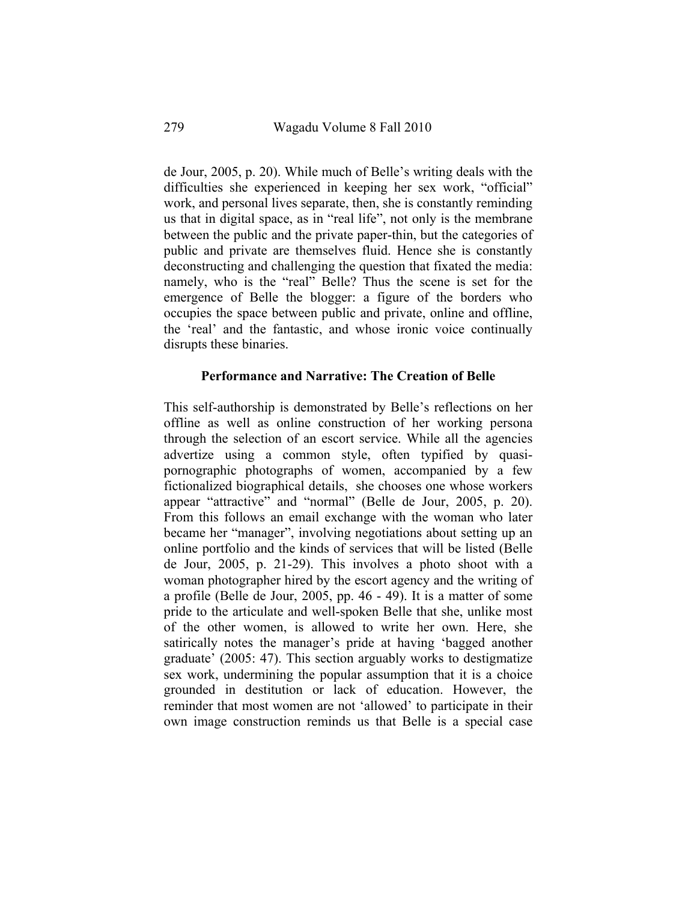de Jour, 2005, p. 20). While much of Belle's writing deals with the difficulties she experienced in keeping her sex work, "official" work, and personal lives separate, then, she is constantly reminding us that in digital space, as in "real life", not only is the membrane between the public and the private paper-thin, but the categories of public and private are themselves fluid. Hence she is constantly deconstructing and challenging the question that fixated the media: namely, who is the "real" Belle? Thus the scene is set for the emergence of Belle the blogger: a figure of the borders who occupies the space between public and private, online and offline, the 'real' and the fantastic, and whose ironic voice continually disrupts these binaries.

### **Performance and Narrative: The Creation of Belle**

This self-authorship is demonstrated by Belle's reflections on her offline as well as online construction of her working persona through the selection of an escort service. While all the agencies advertize using a common style, often typified by quasipornographic photographs of women, accompanied by a few fictionalized biographical details, she chooses one whose workers appear "attractive" and "normal" (Belle de Jour, 2005, p. 20). From this follows an email exchange with the woman who later became her "manager", involving negotiations about setting up an online portfolio and the kinds of services that will be listed (Belle de Jour, 2005, p. 21-29). This involves a photo shoot with a woman photographer hired by the escort agency and the writing of a profile (Belle de Jour, 2005, pp. 46 - 49). It is a matter of some pride to the articulate and well-spoken Belle that she, unlike most of the other women, is allowed to write her own. Here, she satirically notes the manager's pride at having 'bagged another graduate' (2005: 47). This section arguably works to destigmatize sex work, undermining the popular assumption that it is a choice grounded in destitution or lack of education. However, the reminder that most women are not 'allowed' to participate in their own image construction reminds us that Belle is a special case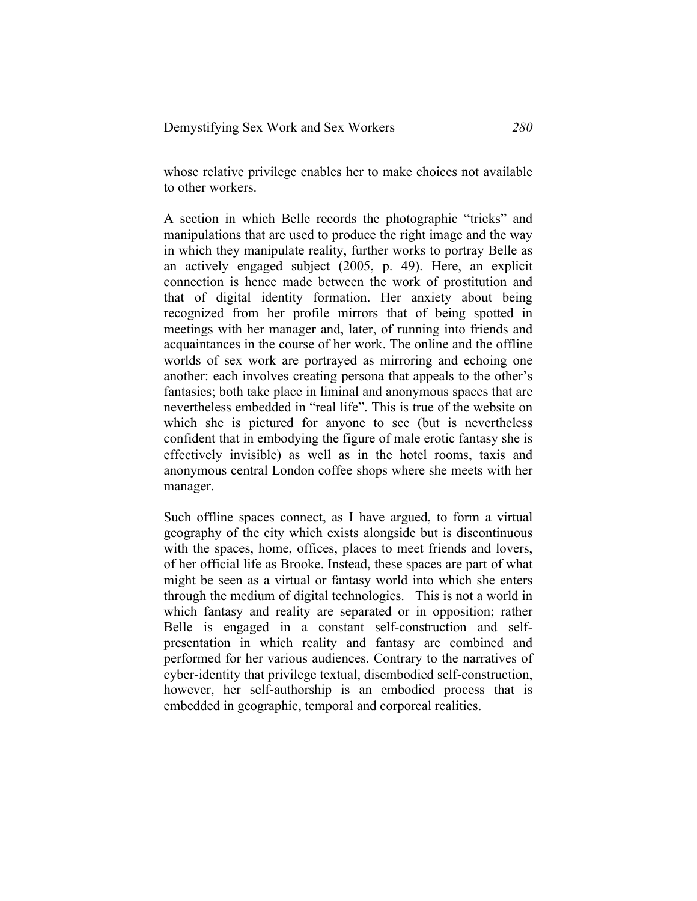whose relative privilege enables her to make choices not available to other workers.

A section in which Belle records the photographic "tricks" and manipulations that are used to produce the right image and the way in which they manipulate reality, further works to portray Belle as an actively engaged subject (2005, p. 49). Here, an explicit connection is hence made between the work of prostitution and that of digital identity formation. Her anxiety about being recognized from her profile mirrors that of being spotted in meetings with her manager and, later, of running into friends and acquaintances in the course of her work. The online and the offline worlds of sex work are portrayed as mirroring and echoing one another: each involves creating persona that appeals to the other's fantasies; both take place in liminal and anonymous spaces that are nevertheless embedded in "real life". This is true of the website on which she is pictured for anyone to see (but is nevertheless confident that in embodying the figure of male erotic fantasy she is effectively invisible) as well as in the hotel rooms, taxis and anonymous central London coffee shops where she meets with her manager.

Such offline spaces connect, as I have argued, to form a virtual geography of the city which exists alongside but is discontinuous with the spaces, home, offices, places to meet friends and lovers, of her official life as Brooke. Instead, these spaces are part of what might be seen as a virtual or fantasy world into which she enters through the medium of digital technologies. This is not a world in which fantasy and reality are separated or in opposition; rather Belle is engaged in a constant self-construction and selfpresentation in which reality and fantasy are combined and performed for her various audiences. Contrary to the narratives of cyber-identity that privilege textual, disembodied self-construction, however, her self-authorship is an embodied process that is embedded in geographic, temporal and corporeal realities.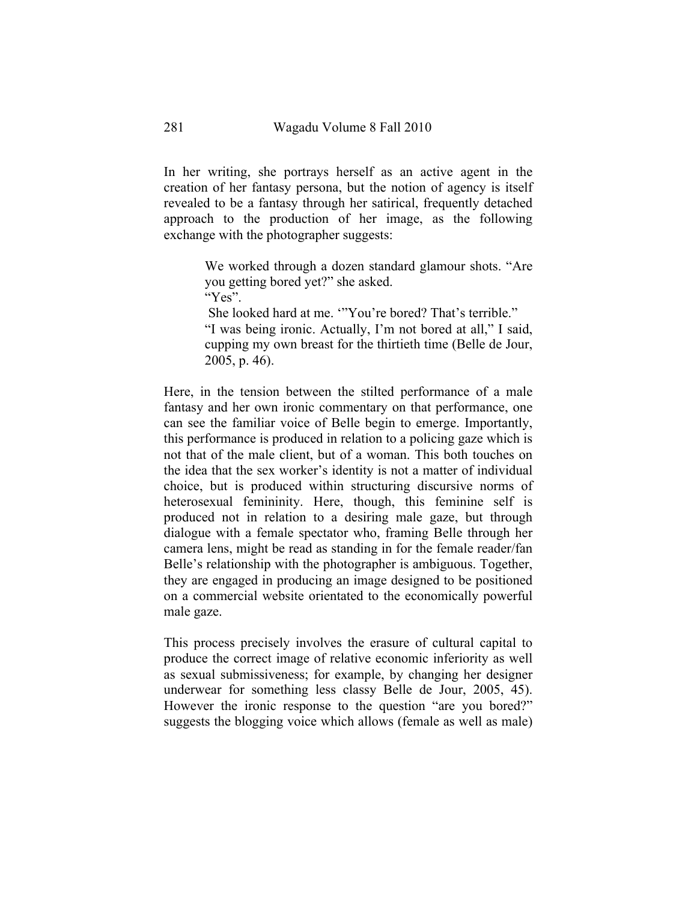In her writing, she portrays herself as an active agent in the creation of her fantasy persona, but the notion of agency is itself revealed to be a fantasy through her satirical, frequently detached approach to the production of her image, as the following exchange with the photographer suggests:

> We worked through a dozen standard glamour shots. "Are you getting bored yet?" she asked.

"Yes".

She looked hard at me. '"You're bored? That's terrible."

"I was being ironic. Actually, I'm not bored at all," I said, cupping my own breast for the thirtieth time (Belle de Jour, 2005, p. 46).

Here, in the tension between the stilted performance of a male fantasy and her own ironic commentary on that performance, one can see the familiar voice of Belle begin to emerge. Importantly, this performance is produced in relation to a policing gaze which is not that of the male client, but of a woman. This both touches on the idea that the sex worker's identity is not a matter of individual choice, but is produced within structuring discursive norms of heterosexual femininity. Here, though, this feminine self is produced not in relation to a desiring male gaze, but through dialogue with a female spectator who, framing Belle through her camera lens, might be read as standing in for the female reader/fan Belle's relationship with the photographer is ambiguous. Together, they are engaged in producing an image designed to be positioned on a commercial website orientated to the economically powerful male gaze.

This process precisely involves the erasure of cultural capital to produce the correct image of relative economic inferiority as well as sexual submissiveness; for example, by changing her designer underwear for something less classy Belle de Jour, 2005, 45). However the ironic response to the question "are you bored?" suggests the blogging voice which allows (female as well as male)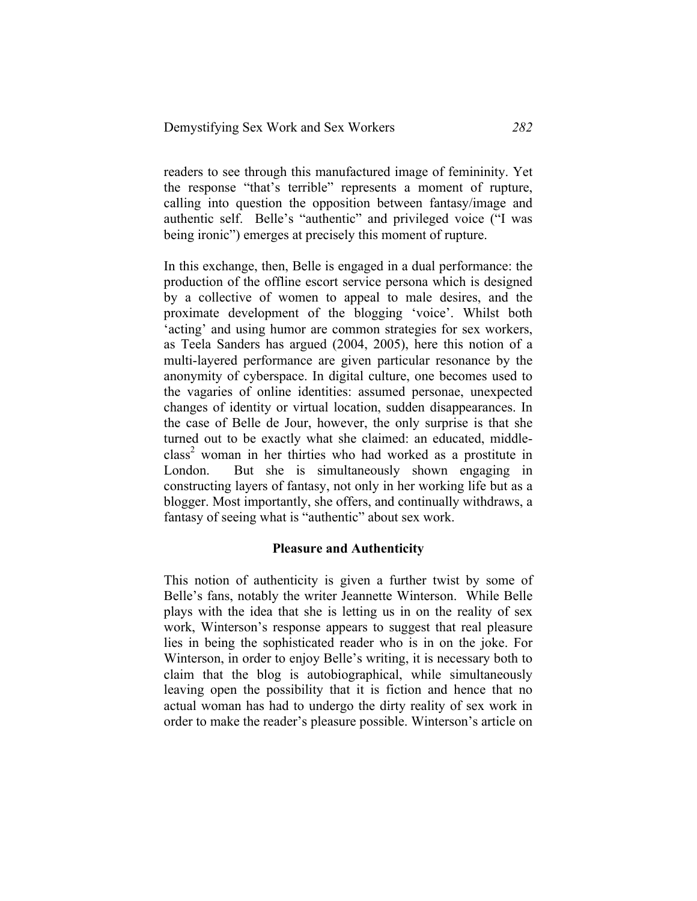readers to see through this manufactured image of femininity. Yet the response "that's terrible" represents a moment of rupture, calling into question the opposition between fantasy/image and authentic self. Belle's "authentic" and privileged voice ("I was being ironic") emerges at precisely this moment of rupture.

In this exchange, then, Belle is engaged in a dual performance: the production of the offline escort service persona which is designed by a collective of women to appeal to male desires, and the proximate development of the blogging 'voice'. Whilst both 'acting' and using humor are common strategies for sex workers, as Teela Sanders has argued (2004, 2005), here this notion of a multi-layered performance are given particular resonance by the anonymity of cyberspace. In digital culture, one becomes used to the vagaries of online identities: assumed personae, unexpected changes of identity or virtual location, sudden disappearances. In the case of Belle de Jour, however, the only surprise is that she turned out to be exactly what she claimed: an educated, middle $class<sup>2</sup>$  woman in her thirties who had worked as a prostitute in London. But she is simultaneously shown engaging in constructing layers of fantasy, not only in her working life but as a blogger. Most importantly, she offers, and continually withdraws, a fantasy of seeing what is "authentic" about sex work.

### **Pleasure and Authenticity**

This notion of authenticity is given a further twist by some of Belle's fans, notably the writer Jeannette Winterson. While Belle plays with the idea that she is letting us in on the reality of sex work, Winterson's response appears to suggest that real pleasure lies in being the sophisticated reader who is in on the joke. For Winterson, in order to enjoy Belle's writing, it is necessary both to claim that the blog is autobiographical, while simultaneously leaving open the possibility that it is fiction and hence that no actual woman has had to undergo the dirty reality of sex work in order to make the reader's pleasure possible. Winterson's article on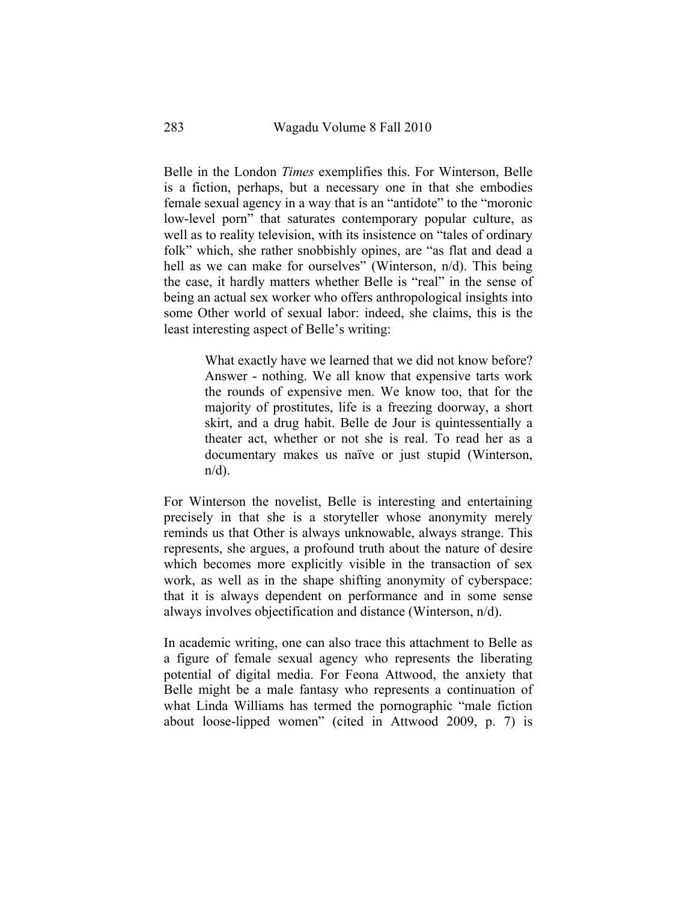Belle in the London *Times* exemplifies this. For Winterson, Belle is a fiction, perhaps, but a necessary one in that she embodies female sexual agency in a way that is an "antidote" to the "moronic low-level porn" that saturates contemporary popular culture, as well as to reality television, with its insistence on "tales of ordinary folk" which, she rather snobbishly opines, are "as flat and dead a hell as we can make for ourselves" (Winterson, n/d). This being the case, it hardly matters whether Belle is "real" in the sense of being an actual sex worker who offers anthropological insights into some Other world of sexual labor: indeed, she claims, this is the least interesting aspect of Belle's writing:

> What exactly have we learned that we did not know before? Answer - nothing. We all know that expensive tarts work the rounds of expensive men. We know too, that for the majority of prostitutes, life is a freezing doorway, a short skirt, and a drug habit. Belle de Jour is quintessentially a theater act, whether or not she is real. To read her as a documentary makes us naïve or just stupid (Winterson,  $n/d$ ).

For Winterson the novelist, Belle is interesting and entertaining precisely in that she is a storyteller whose anonymity merely reminds us that Other is always unknowable, always strange. This represents, she argues, a profound truth about the nature of desire which becomes more explicitly visible in the transaction of sex work, as well as in the shape shifting anonymity of cyberspace: that it is always dependent on performance and in some sense always involves objectification and distance (Winterson, n/d).

In academic writing, one can also trace this attachment to Belle as a figure of female sexual agency who represents the liberating potential of digital media. For Feona Attwood, the anxiety that Belle might be a male fantasy who represents a continuation of what Linda Williams has termed the pornographic "male fiction about loose-lipped women" (cited in Attwood 2009, p. 7) is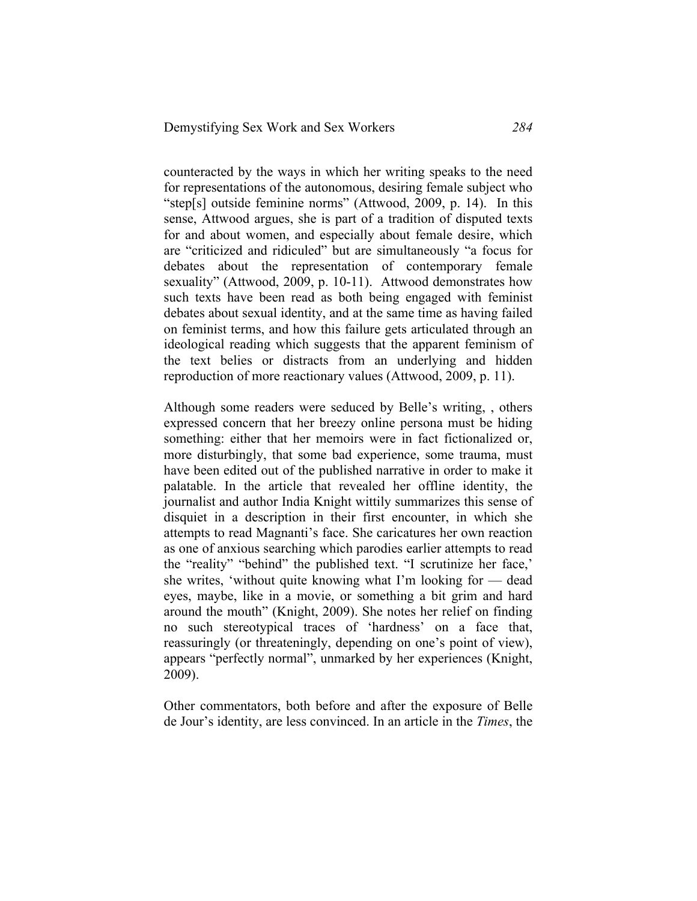counteracted by the ways in which her writing speaks to the need for representations of the autonomous, desiring female subject who "step[s] outside feminine norms" (Attwood, 2009, p. 14). In this sense, Attwood argues, she is part of a tradition of disputed texts for and about women, and especially about female desire, which are "criticized and ridiculed" but are simultaneously "a focus for debates about the representation of contemporary female sexuality" (Attwood, 2009, p. 10-11). Attwood demonstrates how such texts have been read as both being engaged with feminist debates about sexual identity, and at the same time as having failed on feminist terms, and how this failure gets articulated through an ideological reading which suggests that the apparent feminism of the text belies or distracts from an underlying and hidden reproduction of more reactionary values (Attwood, 2009, p. 11).

Although some readers were seduced by Belle's writing, , others expressed concern that her breezy online persona must be hiding something: either that her memoirs were in fact fictionalized or, more disturbingly, that some bad experience, some trauma, must have been edited out of the published narrative in order to make it palatable. In the article that revealed her offline identity, the journalist and author India Knight wittily summarizes this sense of disquiet in a description in their first encounter, in which she attempts to read Magnanti's face. She caricatures her own reaction as one of anxious searching which parodies earlier attempts to read the "reality" "behind" the published text. "I scrutinize her face,' she writes, 'without quite knowing what I'm looking for — dead eyes, maybe, like in a movie, or something a bit grim and hard around the mouth" (Knight, 2009). She notes her relief on finding no such stereotypical traces of 'hardness' on a face that, reassuringly (or threateningly, depending on one's point of view), appears "perfectly normal", unmarked by her experiences (Knight, 2009).

Other commentators, both before and after the exposure of Belle de Jour's identity, are less convinced. In an article in the *Times*, the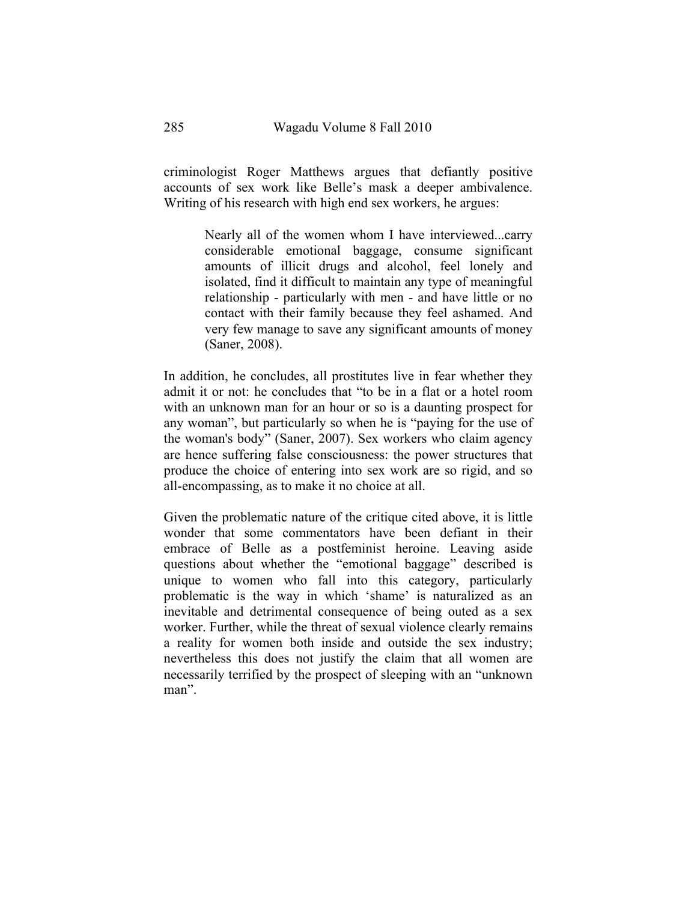criminologist Roger Matthews argues that defiantly positive accounts of sex work like Belle's mask a deeper ambivalence. Writing of his research with high end sex workers, he argues:

> Nearly all of the women whom I have interviewed...carry considerable emotional baggage, consume significant amounts of illicit drugs and alcohol, feel lonely and isolated, find it difficult to maintain any type of meaningful relationship - particularly with men - and have little or no contact with their family because they feel ashamed. And very few manage to save any significant amounts of money (Saner, 2008).

In addition, he concludes, all prostitutes live in fear whether they admit it or not: he concludes that "to be in a flat or a hotel room with an unknown man for an hour or so is a daunting prospect for any woman", but particularly so when he is "paying for the use of the woman's body" (Saner, 2007). Sex workers who claim agency are hence suffering false consciousness: the power structures that produce the choice of entering into sex work are so rigid, and so all-encompassing, as to make it no choice at all.

Given the problematic nature of the critique cited above, it is little wonder that some commentators have been defiant in their embrace of Belle as a postfeminist heroine. Leaving aside questions about whether the "emotional baggage" described is unique to women who fall into this category, particularly problematic is the way in which 'shame' is naturalized as an inevitable and detrimental consequence of being outed as a sex worker. Further, while the threat of sexual violence clearly remains a reality for women both inside and outside the sex industry; nevertheless this does not justify the claim that all women are necessarily terrified by the prospect of sleeping with an "unknown man".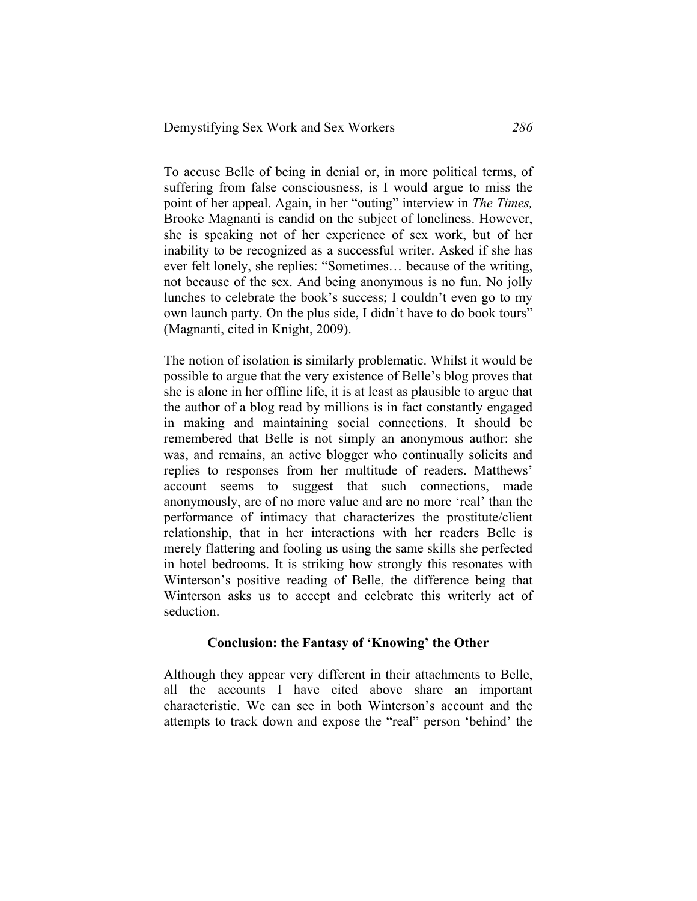To accuse Belle of being in denial or, in more political terms, of suffering from false consciousness, is I would argue to miss the point of her appeal. Again, in her "outing" interview in *The Times,*  Brooke Magnanti is candid on the subject of loneliness. However, she is speaking not of her experience of sex work, but of her inability to be recognized as a successful writer. Asked if she has ever felt lonely, she replies: "Sometimes… because of the writing, not because of the sex. And being anonymous is no fun. No jolly lunches to celebrate the book's success; I couldn't even go to my own launch party. On the plus side, I didn't have to do book tours" (Magnanti, cited in Knight, 2009).

The notion of isolation is similarly problematic. Whilst it would be possible to argue that the very existence of Belle's blog proves that she is alone in her offline life, it is at least as plausible to argue that the author of a blog read by millions is in fact constantly engaged in making and maintaining social connections. It should be remembered that Belle is not simply an anonymous author: she was, and remains, an active blogger who continually solicits and replies to responses from her multitude of readers. Matthews' account seems to suggest that such connections, made anonymously, are of no more value and are no more 'real' than the performance of intimacy that characterizes the prostitute/client relationship, that in her interactions with her readers Belle is merely flattering and fooling us using the same skills she perfected in hotel bedrooms. It is striking how strongly this resonates with Winterson's positive reading of Belle, the difference being that Winterson asks us to accept and celebrate this writerly act of seduction.

### **Conclusion: the Fantasy of 'Knowing' the Other**

Although they appear very different in their attachments to Belle, all the accounts I have cited above share an important characteristic. We can see in both Winterson's account and the attempts to track down and expose the "real" person 'behind' the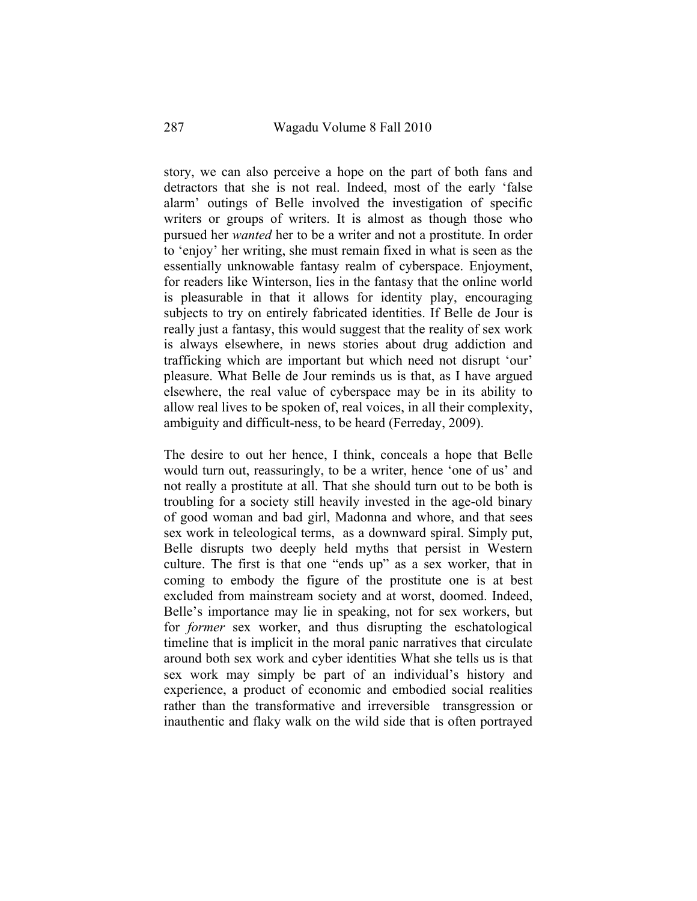story, we can also perceive a hope on the part of both fans and detractors that she is not real. Indeed, most of the early 'false alarm' outings of Belle involved the investigation of specific writers or groups of writers. It is almost as though those who pursued her *wanted* her to be a writer and not a prostitute. In order to 'enjoy' her writing, she must remain fixed in what is seen as the essentially unknowable fantasy realm of cyberspace. Enjoyment, for readers like Winterson, lies in the fantasy that the online world is pleasurable in that it allows for identity play, encouraging subjects to try on entirely fabricated identities. If Belle de Jour is really just a fantasy, this would suggest that the reality of sex work is always elsewhere, in news stories about drug addiction and trafficking which are important but which need not disrupt 'our' pleasure. What Belle de Jour reminds us is that, as I have argued elsewhere, the real value of cyberspace may be in its ability to allow real lives to be spoken of, real voices, in all their complexity, ambiguity and difficult-ness, to be heard (Ferreday, 2009).

The desire to out her hence, I think, conceals a hope that Belle would turn out, reassuringly, to be a writer, hence 'one of us' and not really a prostitute at all. That she should turn out to be both is troubling for a society still heavily invested in the age-old binary of good woman and bad girl, Madonna and whore, and that sees sex work in teleological terms, as a downward spiral. Simply put, Belle disrupts two deeply held myths that persist in Western culture. The first is that one "ends up" as a sex worker, that in coming to embody the figure of the prostitute one is at best excluded from mainstream society and at worst, doomed. Indeed, Belle's importance may lie in speaking, not for sex workers, but for *former* sex worker, and thus disrupting the eschatological timeline that is implicit in the moral panic narratives that circulate around both sex work and cyber identities What she tells us is that sex work may simply be part of an individual's history and experience, a product of economic and embodied social realities rather than the transformative and irreversible transgression or inauthentic and flaky walk on the wild side that is often portrayed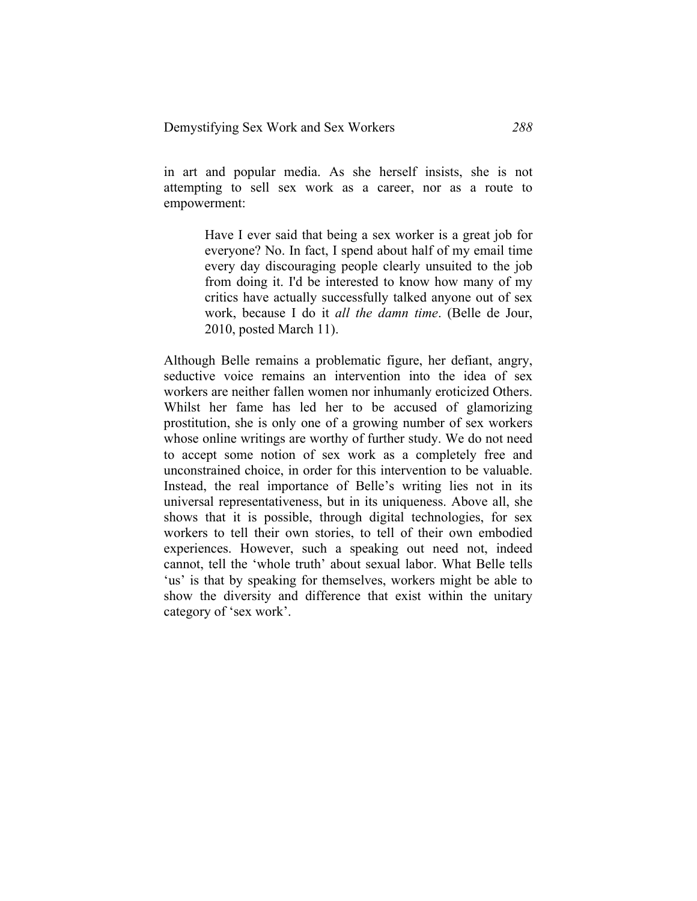in art and popular media. As she herself insists, she is not attempting to sell sex work as a career, nor as a route to empowerment:

> Have I ever said that being a sex worker is a great job for everyone? No. In fact, I spend about half of my email time every day discouraging people clearly unsuited to the job from doing it. I'd be interested to know how many of my critics have actually successfully talked anyone out of sex work, because I do it *all the damn time*. (Belle de Jour, 2010, posted March 11).

Although Belle remains a problematic figure, her defiant, angry, seductive voice remains an intervention into the idea of sex workers are neither fallen women nor inhumanly eroticized Others. Whilst her fame has led her to be accused of glamorizing prostitution, she is only one of a growing number of sex workers whose online writings are worthy of further study. We do not need to accept some notion of sex work as a completely free and unconstrained choice, in order for this intervention to be valuable. Instead, the real importance of Belle's writing lies not in its universal representativeness, but in its uniqueness. Above all, she shows that it is possible, through digital technologies, for sex workers to tell their own stories, to tell of their own embodied experiences. However, such a speaking out need not, indeed cannot, tell the 'whole truth' about sexual labor. What Belle tells 'us' is that by speaking for themselves, workers might be able to show the diversity and difference that exist within the unitary category of 'sex work'.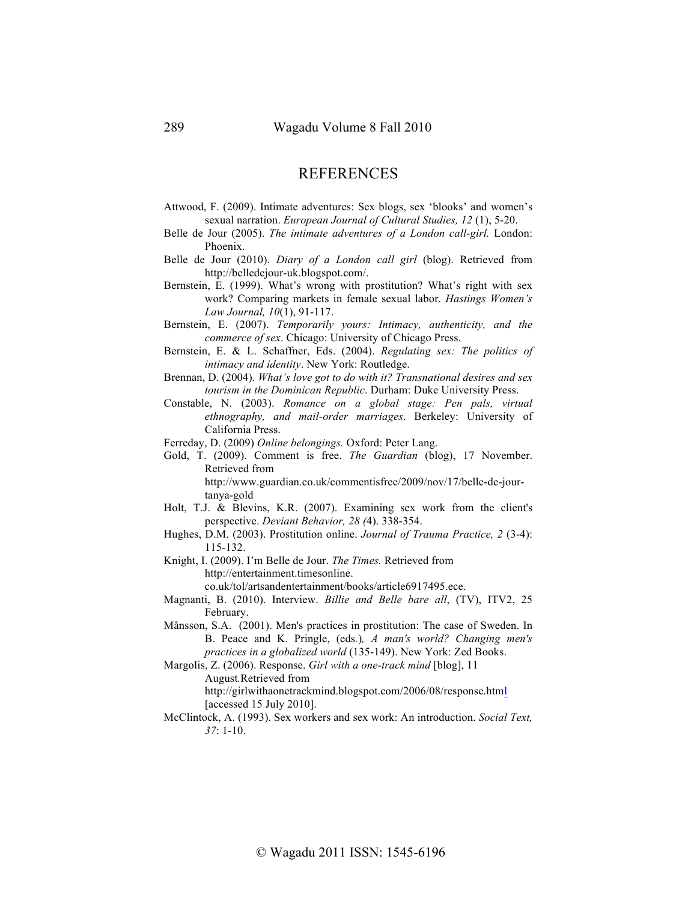## **REFERENCES**

- Attwood, F. (2009). Intimate adventures: Sex blogs, sex 'blooks' and women's sexual narration. *European Journal of Cultural Studies, 12* (1), 5-20.
- Belle de Jour (2005). *The intimate adventures of a London call-girl.* London: Phoenix.
- Belle de Jour (2010). *Diary of a London call girl* (blog). Retrieved from http://belledejour-uk.blogspot.com/.
- Bernstein, E. (1999). What's wrong with prostitution? What's right with sex work? Comparing markets in female sexual labor. *Hastings Women's Law Journal, 10*(1), 91-117.
- Bernstein, E. (2007). *Temporarily yours: Intimacy, authenticity, and the commerce of sex*. Chicago: University of Chicago Press.
- Bernstein, E. & L. Schaffner, Eds. (2004). *Regulating sex: The politics of intimacy and identity*. New York: Routledge.
- Brennan, D. (2004). *What's love got to do with it? Transnational desires and sex tourism in the Dominican Republic*. Durham: Duke University Press.
- Constable, N. (2003). *Romance on a global stage: Pen pals, virtual ethnography, and mail-order marriages*. Berkeley: University of California Press.
- Ferreday, D. (2009) *Online belongings.* Oxford: Peter Lang.
- Gold, T. (2009). Comment is free. *The Guardian* (blog), 17 November. Retrieved from

http://www.guardian.co.uk/commentisfree/2009/nov/17/belle-de-jourtanya-gold

- Holt, T.J. & Blevins, K.R. (2007). Examining sex work from the client's perspective. *Deviant Behavior, 28 (*4). 338-354.
- Hughes, D.M. (2003). Prostitution online. *Journal of Trauma Practice, 2* (3-4): 115-132.
- Knight, I. (2009). I'm Belle de Jour. *The Times.* Retrieved from http://entertainment.timesonline. co.uk/tol/artsandentertainment/books/article6917495.ece.
- Magnanti, B. (2010). Interview. *Billie and Belle bare all*, (TV), ITV2, 25 February.
- Månsson, S.A. (2001). Men's practices in prostitution: The case of Sweden. In B. Peace and K. Pringle, (eds*.*)*, A man's world? Changing men's practices in a globalized world* (135-149). New York: Zed Books.

Margolis, Z. (2006). Response. *Girl with a one-track mind* [blog], 11

August*.*Retrieved from

http://girlwithaonetrackmind.blogspot.com/2006/08/response.html [accessed 15 July 2010].

McClintock, A. (1993). Sex workers and sex work: An introduction. *Social Text, 37*: 1-10.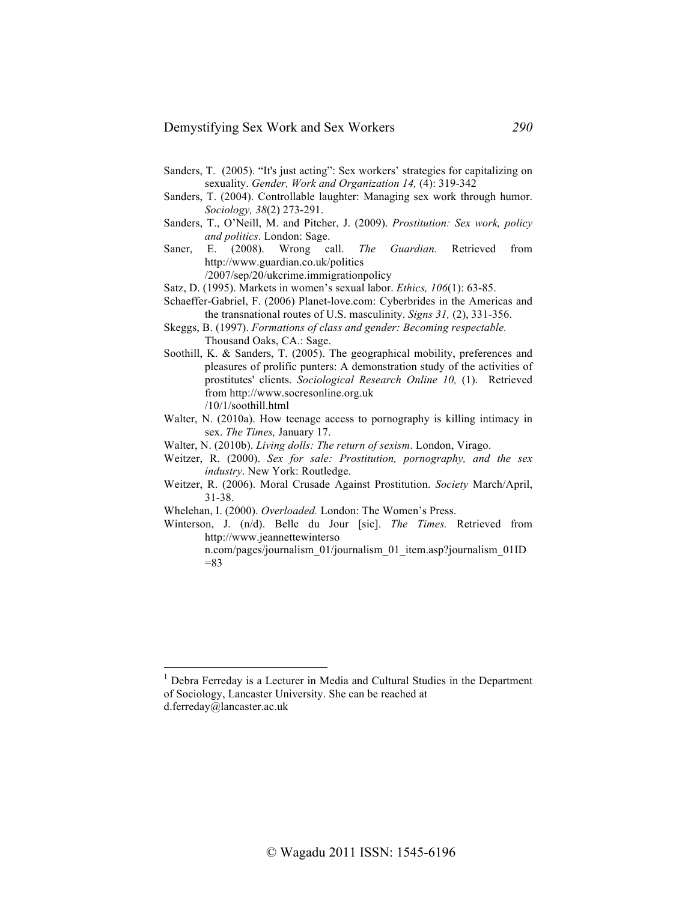- Sanders, T. (2005). "It's just acting": Sex workers' strategies for capitalizing on sexuality. *Gender, Work and Organization 14,* (4): 319-342
- Sanders, T. (2004). Controllable laughter: Managing sex work through humor. *Sociology, 38*(2) 273-291.
- Sanders, T., O'Neill, M. and Pitcher, J. (2009). *Prostitution: Sex work, policy and politics*. London: Sage.
- Saner, E. (2008). Wrong call. *The Guardian.* Retrieved from http://www.guardian.co.uk/politics

/2007/sep/20/ukcrime.immigrationpolicy

- Satz, D. (1995). Markets in women's sexual labor. *Ethics, 106*(1): 63-85.
- Schaeffer-Gabriel, F. (2006) Planet-love.com: Cyberbrides in the Americas and the transnational routes of U.S. masculinity. *Signs 31,* (2), 331-356.
- Skeggs, B. (1997). *Formations of class and gender: Becoming respectable.*  Thousand Oaks, CA.: Sage.
- Soothill, K. & Sanders, T. (2005). The geographical mobility, preferences and pleasures of prolific punters: A demonstration study of the activities of prostitutes' clients. *Sociological Research Online 10,* (1). Retrieved from http://www.socresonline.org.uk /10/1/soothill.html
- Walter, N. (2010a). How teenage access to pornography is killing intimacy in sex. *The Times,* January 17.
- Walter, N. (2010b). *Living dolls: The return of sexism*. London, Virago.
- Weitzer, R. (2000). *Sex for sale: Prostitution, pornography, and the sex industry*. New York: Routledge.
- Weitzer, R. (2006). Moral Crusade Against Prostitution. *Society* March/April, 31-38.
- Whelehan, I. (2000). *Overloaded.* London: The Women's Press.
- Winterson, J. (n/d). Belle du Jour [sic]. *The Times.* Retrieved from http://www.jeannettewinterso

n.com/pages/journalism\_01/journalism\_01\_item.asp?journalism\_01ID  $=83$ 

<sup>&</sup>lt;sup>1</sup> Debra Ferreday is a Lecturer in Media and Cultural Studies in the Department of Sociology, Lancaster University. She can be reached at d.ferreday@lancaster.ac.uk